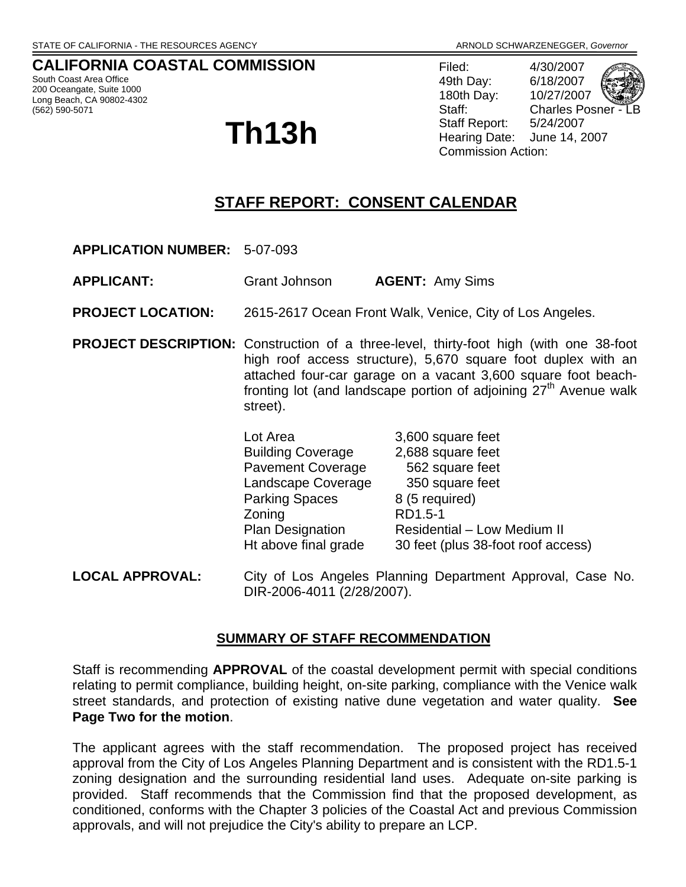# **CALIFORNIA COASTAL COMMISSION**

South Coast Area Office 200 Oceangate, Suite 1000 Long Beach, CA 90802-4302 (562) 590-5071

# **Th13h**

Filed: 4/30/2007 49th Day: 6/18/2007 180th Day: 10/27/2007 Staff: Charles Posner Staff Report: 5/24/2007 Hearing Date: June 14, 2007 Commission Action:

# **STAFF REPORT: CONSENT CALENDAR**

**APPLICATION NUMBER:** 5-07-093

**APPLICANT:** Grant Johnson **AGENT:** Amy Sims

**PROJECT LOCATION:** 2615-2617 Ocean Front Walk, Venice, City of Los Angeles.

**PROJECT DESCRIPTION:** Construction of a three-level, thirty-foot high (with one 38-foot high roof access structure), 5,670 square foot duplex with an attached four-car garage on a vacant 3,600 square foot beachfronting lot (and landscape portion of adjoining  $27<sup>th</sup>$  Avenue walk street).

| Lot Area                 | 3,600 square feet                  |
|--------------------------|------------------------------------|
| <b>Building Coverage</b> | 2,688 square feet                  |
| <b>Pavement Coverage</b> | 562 square feet                    |
| Landscape Coverage       | 350 square feet                    |
| <b>Parking Spaces</b>    | 8 (5 required)                     |
| Zoning                   | RD1.5-1                            |
| <b>Plan Designation</b>  | Residential - Low Medium II        |
| Ht above final grade     | 30 feet (plus 38-foot roof access) |

**LOCAL APPROVAL:** City of Los Angeles Planning Department Approval, Case No. DIR-2006-4011 (2/28/2007).

## **SUMMARY OF STAFF RECOMMENDATION**

Staff is recommending **APPROVAL** of the coastal development permit with special conditions relating to permit compliance, building height, on-site parking, compliance with the Venice walk street standards, and protection of existing native dune vegetation and water quality. **See Page Two for the motion**.

The applicant agrees with the staff recommendation. The proposed project has received approval from the City of Los Angeles Planning Department and is consistent with the RD1.5-1 zoning designation and the surrounding residential land uses. Adequate on-site parking is provided. Staff recommends that the Commission find that the proposed development, as conditioned, conforms with the Chapter 3 policies of the Coastal Act and previous Commission approvals, and will not prejudice the City's ability to prepare an LCP.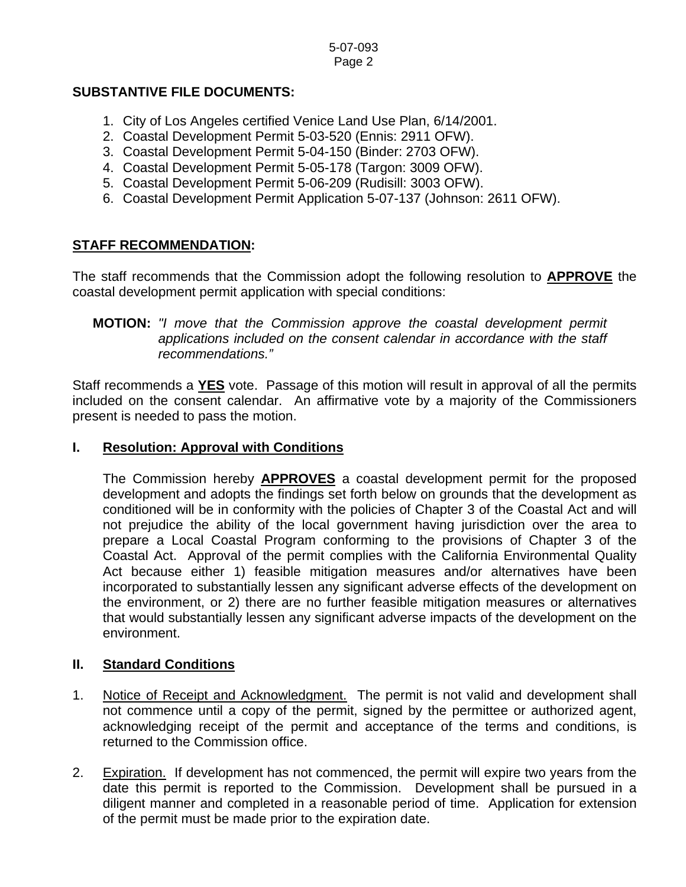## **SUBSTANTIVE FILE DOCUMENTS:**

- 1. City of Los Angeles certified Venice Land Use Plan, 6/14/2001.
- 2. Coastal Development Permit 5-03-520 (Ennis: 2911 OFW).
- 3. Coastal Development Permit 5-04-150 (Binder: 2703 OFW).
- 4. Coastal Development Permit 5-05-178 (Targon: 3009 OFW).
- 5. Coastal Development Permit 5-06-209 (Rudisill: 3003 OFW).
- 6. Coastal Development Permit Application 5-07-137 (Johnson: 2611 OFW).

## **STAFF RECOMMENDATION:**

The staff recommends that the Commission adopt the following resolution to **APPROVE** the coastal development permit application with special conditions:

## **MOTION:** *"I move that the Commission approve the coastal development permit applications included on the consent calendar in accordance with the staff recommendations."*

Staff recommends a **YES** vote. Passage of this motion will result in approval of all the permits included on the consent calendar. An affirmative vote by a majority of the Commissioners present is needed to pass the motion.

## **I. Resolution: Approval with Conditions**

The Commission hereby **APPROVES** a coastal development permit for the proposed development and adopts the findings set forth below on grounds that the development as conditioned will be in conformity with the policies of Chapter 3 of the Coastal Act and will not prejudice the ability of the local government having jurisdiction over the area to prepare a Local Coastal Program conforming to the provisions of Chapter 3 of the Coastal Act. Approval of the permit complies with the California Environmental Quality Act because either 1) feasible mitigation measures and/or alternatives have been incorporated to substantially lessen any significant adverse effects of the development on the environment, or 2) there are no further feasible mitigation measures or alternatives that would substantially lessen any significant adverse impacts of the development on the environment.

## **II. Standard Conditions**

- 1. Notice of Receipt and Acknowledgment. The permit is not valid and development shall not commence until a copy of the permit, signed by the permittee or authorized agent, acknowledging receipt of the permit and acceptance of the terms and conditions, is returned to the Commission office.
- 2. Expiration. If development has not commenced, the permit will expire two years from the date this permit is reported to the Commission. Development shall be pursued in a diligent manner and completed in a reasonable period of time. Application for extension of the permit must be made prior to the expiration date.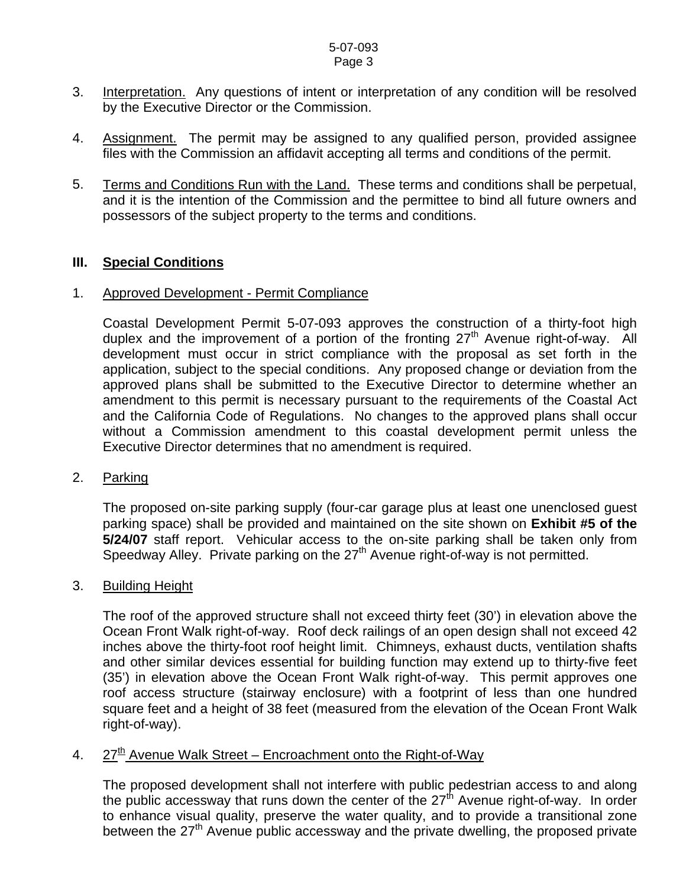#### 5-07-093 Page 3

- 3. Interpretation. Any questions of intent or interpretation of any condition will be resolved by the Executive Director or the Commission.
- 4. Assignment. The permit may be assigned to any qualified person, provided assignee files with the Commission an affidavit accepting all terms and conditions of the permit.
- 5. Terms and Conditions Run with the Land. These terms and conditions shall be perpetual, and it is the intention of the Commission and the permittee to bind all future owners and possessors of the subject property to the terms and conditions.

## **III. Special Conditions**

#### 1. Approved Development - Permit Compliance

Coastal Development Permit 5-07-093 approves the construction of a thirty-foot high duplex and the improvement of a portion of the fronting  $27<sup>th</sup>$  Avenue right-of-way. All development must occur in strict compliance with the proposal as set forth in the application, subject to the special conditions. Any proposed change or deviation from the approved plans shall be submitted to the Executive Director to determine whether an amendment to this permit is necessary pursuant to the requirements of the Coastal Act and the California Code of Regulations. No changes to the approved plans shall occur without a Commission amendment to this coastal development permit unless the Executive Director determines that no amendment is required.

## 2. Parking

 The proposed on-site parking supply (four-car garage plus at least one unenclosed guest parking space) shall be provided and maintained on the site shown on **Exhibit #5 of the 5/24/07** staff report. Vehicular access to the on-site parking shall be taken only from Speedway Alley. Private parking on the 27<sup>th</sup> Avenue right-of-way is not permitted.

## 3. Building Height

The roof of the approved structure shall not exceed thirty feet (30') in elevation above the Ocean Front Walk right-of-way. Roof deck railings of an open design shall not exceed 42 inches above the thirty-foot roof height limit. Chimneys, exhaust ducts, ventilation shafts and other similar devices essential for building function may extend up to thirty-five feet (35') in elevation above the Ocean Front Walk right-of-way. This permit approves one roof access structure (stairway enclosure) with a footprint of less than one hundred square feet and a height of 38 feet (measured from the elevation of the Ocean Front Walk right-of-way).

# 4. 27<sup>th</sup> Avenue Walk Street – Encroachment onto the Right-of-Way

The proposed development shall not interfere with public pedestrian access to and along the public accessway that runs down the center of the  $27<sup>th</sup>$  Avenue right-of-way. In order to enhance visual quality, preserve the water quality, and to provide a transitional zone between the 27<sup>th</sup> Avenue public accessway and the private dwelling, the proposed private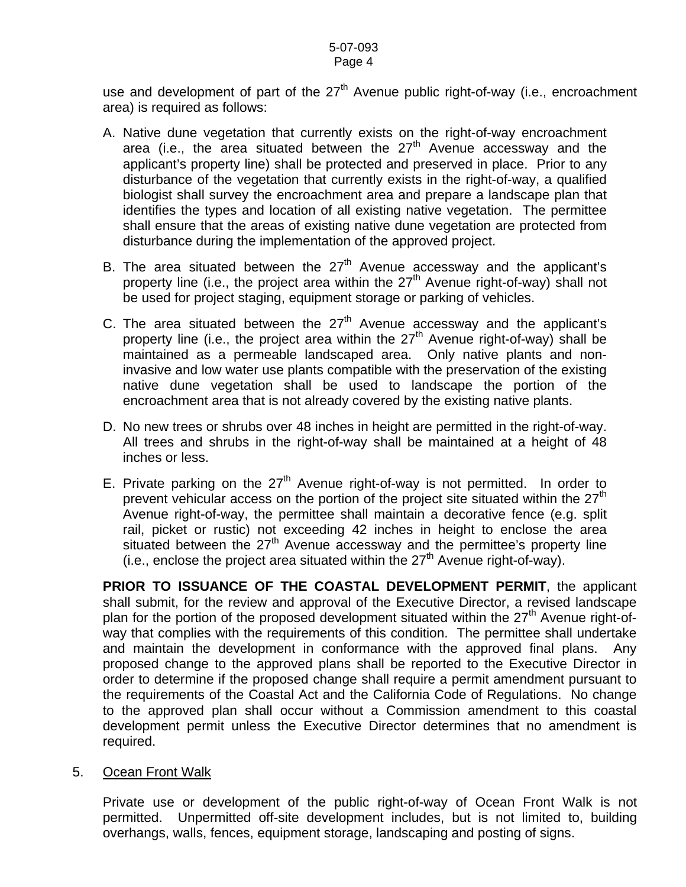use and development of part of the  $27<sup>th</sup>$  Avenue public right-of-way (i.e., encroachment area) is required as follows:

- A. Native dune vegetation that currently exists on the right-of-way encroachment area (i.e., the area situated between the  $27<sup>th</sup>$  Avenue accessway and the applicant's property line) shall be protected and preserved in place. Prior to any disturbance of the vegetation that currently exists in the right-of-way, a qualified biologist shall survey the encroachment area and prepare a landscape plan that identifies the types and location of all existing native vegetation. The permittee shall ensure that the areas of existing native dune vegetation are protected from disturbance during the implementation of the approved project.
- B. The area situated between the  $27<sup>th</sup>$  Avenue accessway and the applicant's property line (i.e., the project area within the  $27<sup>th</sup>$  Avenue right-of-way) shall not be used for project staging, equipment storage or parking of vehicles.
- C. The area situated between the  $27<sup>th</sup>$  Avenue accessway and the applicant's property line (i.e., the project area within the  $27<sup>th</sup>$  Avenue right-of-way) shall be maintained as a permeable landscaped area. Only native plants and noninvasive and low water use plants compatible with the preservation of the existing native dune vegetation shall be used to landscape the portion of the encroachment area that is not already covered by the existing native plants.
- D. No new trees or shrubs over 48 inches in height are permitted in the right-of-way. All trees and shrubs in the right-of-way shall be maintained at a height of 48 inches or less.
- E. Private parking on the  $27<sup>th</sup>$  Avenue right-of-way is not permitted. In order to prevent vehicular access on the portion of the project site situated within the  $27<sup>th</sup>$ Avenue right-of-way, the permittee shall maintain a decorative fence (e.g. split rail, picket or rustic) not exceeding 42 inches in height to enclose the area situated between the  $27<sup>th</sup>$  Avenue accessway and the permittee's property line  $(i.e., enclose the project area situated within the  $27<sup>th</sup>$  Avenue right-of-way).$

**PRIOR TO ISSUANCE OF THE COASTAL DEVELOPMENT PERMIT**, the applicant shall submit, for the review and approval of the Executive Director, a revised landscape plan for the portion of the proposed development situated within the  $27<sup>th</sup>$  Avenue right-ofway that complies with the requirements of this condition. The permittee shall undertake and maintain the development in conformance with the approved final plans. Any proposed change to the approved plans shall be reported to the Executive Director in order to determine if the proposed change shall require a permit amendment pursuant to the requirements of the Coastal Act and the California Code of Regulations. No change to the approved plan shall occur without a Commission amendment to this coastal development permit unless the Executive Director determines that no amendment is required.

## 5. Ocean Front Walk

Private use or development of the public right-of-way of Ocean Front Walk is not permitted. Unpermitted off-site development includes, but is not limited to, building overhangs, walls, fences, equipment storage, landscaping and posting of signs.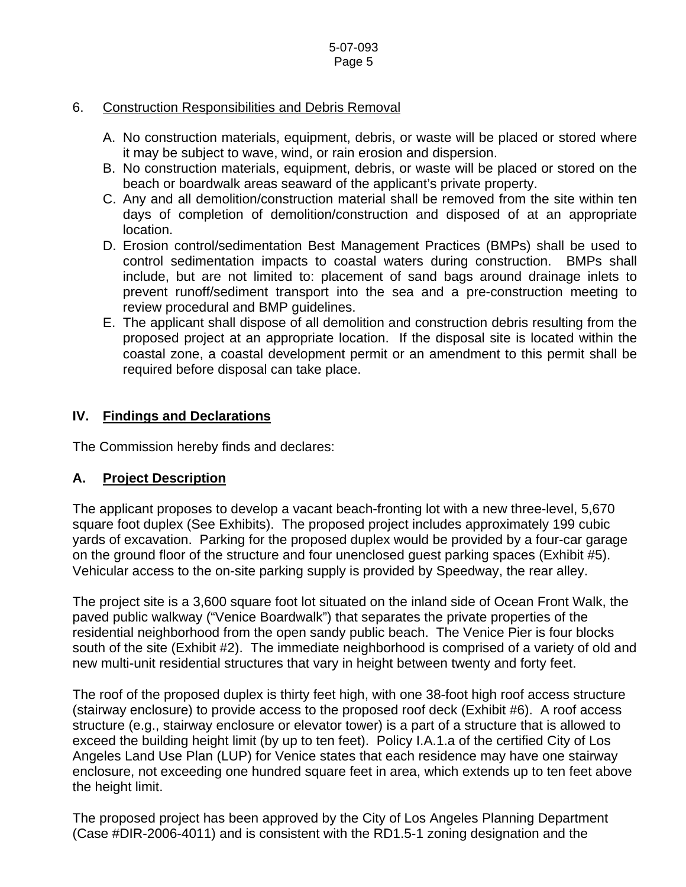# 6. Construction Responsibilities and Debris Removal

- A. No construction materials, equipment, debris, or waste will be placed or stored where it may be subject to wave, wind, or rain erosion and dispersion.
- B. No construction materials, equipment, debris, or waste will be placed or stored on the beach or boardwalk areas seaward of the applicant's private property.
- C. Any and all demolition/construction material shall be removed from the site within ten days of completion of demolition/construction and disposed of at an appropriate location.
- D. Erosion control/sedimentation Best Management Practices (BMPs) shall be used to control sedimentation impacts to coastal waters during construction. BMPs shall include, but are not limited to: placement of sand bags around drainage inlets to prevent runoff/sediment transport into the sea and a pre-construction meeting to review procedural and BMP guidelines.
- E. The applicant shall dispose of all demolition and construction debris resulting from the proposed project at an appropriate location. If the disposal site is located within the coastal zone, a coastal development permit or an amendment to this permit shall be required before disposal can take place.

# **IV. Findings and Declarations**

The Commission hereby finds and declares:

# **A. Project Description**

The applicant proposes to develop a vacant beach-fronting lot with a new three-level, 5,670 square foot duplex (See Exhibits). The proposed project includes approximately 199 cubic yards of excavation. Parking for the proposed duplex would be provided by a four-car garage on the ground floor of the structure and four unenclosed guest parking spaces (Exhibit #5). Vehicular access to the on-site parking supply is provided by Speedway, the rear alley.

The project site is a 3,600 square foot lot situated on the inland side of Ocean Front Walk, the paved public walkway ("Venice Boardwalk") that separates the private properties of the residential neighborhood from the open sandy public beach. The Venice Pier is four blocks south of the site (Exhibit #2). The immediate neighborhood is comprised of a variety of old and new multi-unit residential structures that vary in height between twenty and forty feet.

The roof of the proposed duplex is thirty feet high, with one 38-foot high roof access structure (stairway enclosure) to provide access to the proposed roof deck (Exhibit #6). A roof access structure (e.g., stairway enclosure or elevator tower) is a part of a structure that is allowed to exceed the building height limit (by up to ten feet). Policy I.A.1.a of the certified City of Los Angeles Land Use Plan (LUP) for Venice states that each residence may have one stairway enclosure, not exceeding one hundred square feet in area, which extends up to ten feet above the height limit.

The proposed project has been approved by the City of Los Angeles Planning Department (Case #DIR-2006-4011) and is consistent with the RD1.5-1 zoning designation and the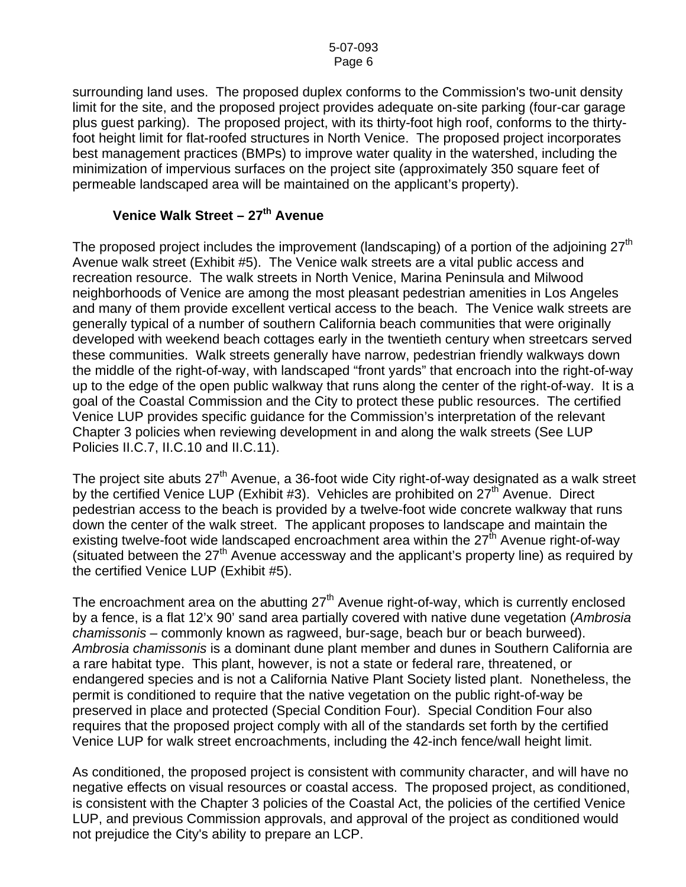surrounding land uses. The proposed duplex conforms to the Commission's two-unit density limit for the site, and the proposed project provides adequate on-site parking (four-car garage plus guest parking). The proposed project, with its thirty-foot high roof, conforms to the thirtyfoot height limit for flat-roofed structures in North Venice. The proposed project incorporates best management practices (BMPs) to improve water quality in the watershed, including the minimization of impervious surfaces on the project site (approximately 350 square feet of permeable landscaped area will be maintained on the applicant's property).

# Venice Walk Street - 27<sup>th</sup> Avenue

The proposed project includes the improvement (landscaping) of a portion of the adjoining  $27<sup>th</sup>$ Avenue walk street (Exhibit #5). The Venice walk streets are a vital public access and recreation resource. The walk streets in North Venice, Marina Peninsula and Milwood neighborhoods of Venice are among the most pleasant pedestrian amenities in Los Angeles and many of them provide excellent vertical access to the beach. The Venice walk streets are generally typical of a number of southern California beach communities that were originally developed with weekend beach cottages early in the twentieth century when streetcars served these communities. Walk streets generally have narrow, pedestrian friendly walkways down the middle of the right-of-way, with landscaped "front yards" that encroach into the right-of-way up to the edge of the open public walkway that runs along the center of the right-of-way. It is a goal of the Coastal Commission and the City to protect these public resources. The certified Venice LUP provides specific guidance for the Commission's interpretation of the relevant Chapter 3 policies when reviewing development in and along the walk streets (See LUP Policies II.C.7, II.C.10 and II.C.11).

The project site abuts 27<sup>th</sup> Avenue, a 36-foot wide City right-of-way designated as a walk street by the certified Venice LUP (Exhibit #3). Vehicles are prohibited on 27<sup>th</sup> Avenue. Direct pedestrian access to the beach is provided by a twelve-foot wide concrete walkway that runs down the center of the walk street. The applicant proposes to landscape and maintain the existing twelve-foot wide landscaped encroachment area within the  $27<sup>th</sup>$  Avenue right-of-way (situated between the  $27<sup>th</sup>$  Avenue accessway and the applicant's property line) as required by the certified Venice LUP (Exhibit #5).

The encroachment area on the abutting  $27<sup>th</sup>$  Avenue right-of-way, which is currently enclosed by a fence, is a flat 12'x 90' sand area partially covered with native dune vegetation (*Ambrosia chamissonis –* commonly known as ragweed, bur-sage, beach bur or beach burweed). *Ambrosia chamissonis* is a dominant dune plant member and dunes in Southern California are a rare habitat type. This plant, however, is not a state or federal rare, threatened, or endangered species and is not a California Native Plant Society listed plant. Nonetheless, the permit is conditioned to require that the native vegetation on the public right-of-way be preserved in place and protected (Special Condition Four). Special Condition Four also requires that the proposed project comply with all of the standards set forth by the certified Venice LUP for walk street encroachments, including the 42-inch fence/wall height limit.

As conditioned, the proposed project is consistent with community character, and will have no negative effects on visual resources or coastal access. The proposed project, as conditioned, is consistent with the Chapter 3 policies of the Coastal Act, the policies of the certified Venice LUP, and previous Commission approvals, and approval of the project as conditioned would not prejudice the City's ability to prepare an LCP.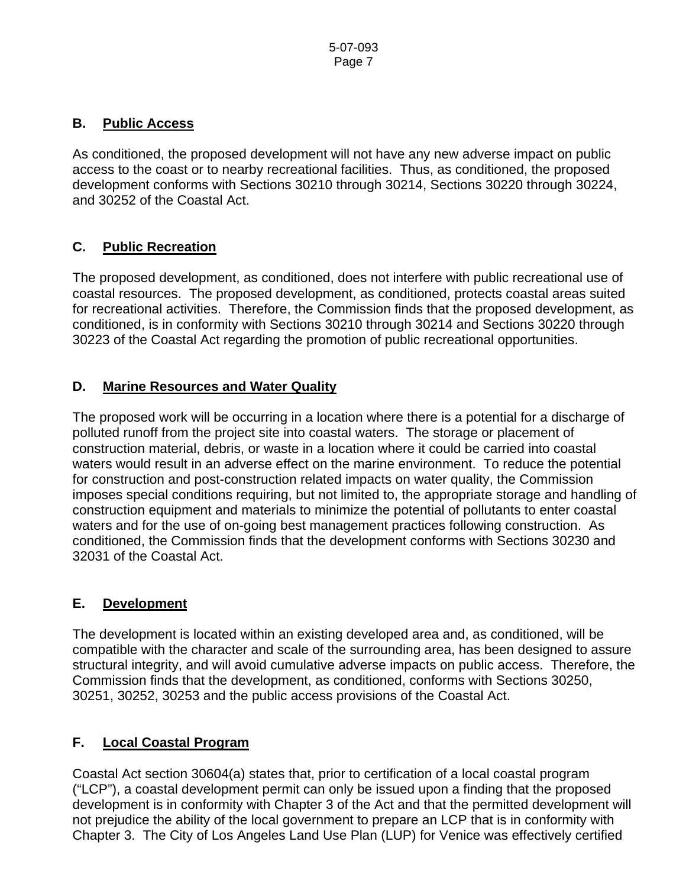# **B. Public Access**

As conditioned, the proposed development will not have any new adverse impact on public access to the coast or to nearby recreational facilities. Thus, as conditioned, the proposed development conforms with Sections 30210 through 30214, Sections 30220 through 30224, and 30252 of the Coastal Act.

# **C. Public Recreation**

The proposed development, as conditioned, does not interfere with public recreational use of coastal resources. The proposed development, as conditioned, protects coastal areas suited for recreational activities. Therefore, the Commission finds that the proposed development, as conditioned, is in conformity with Sections 30210 through 30214 and Sections 30220 through 30223 of the Coastal Act regarding the promotion of public recreational opportunities.

# **D. Marine Resources and Water Quality**

The proposed work will be occurring in a location where there is a potential for a discharge of polluted runoff from the project site into coastal waters. The storage or placement of construction material, debris, or waste in a location where it could be carried into coastal waters would result in an adverse effect on the marine environment. To reduce the potential for construction and post-construction related impacts on water quality, the Commission imposes special conditions requiring, but not limited to, the appropriate storage and handling of construction equipment and materials to minimize the potential of pollutants to enter coastal waters and for the use of on-going best management practices following construction. As conditioned, the Commission finds that the development conforms with Sections 30230 and 32031 of the Coastal Act.

## **E. Development**

The development is located within an existing developed area and, as conditioned, will be compatible with the character and scale of the surrounding area, has been designed to assure structural integrity, and will avoid cumulative adverse impacts on public access. Therefore, the Commission finds that the development, as conditioned, conforms with Sections 30250, 30251, 30252, 30253 and the public access provisions of the Coastal Act.

# **F. Local Coastal Program**

Coastal Act section 30604(a) states that, prior to certification of a local coastal program ("LCP"), a coastal development permit can only be issued upon a finding that the proposed development is in conformity with Chapter 3 of the Act and that the permitted development will not prejudice the ability of the local government to prepare an LCP that is in conformity with Chapter 3. The City of Los Angeles Land Use Plan (LUP) for Venice was effectively certified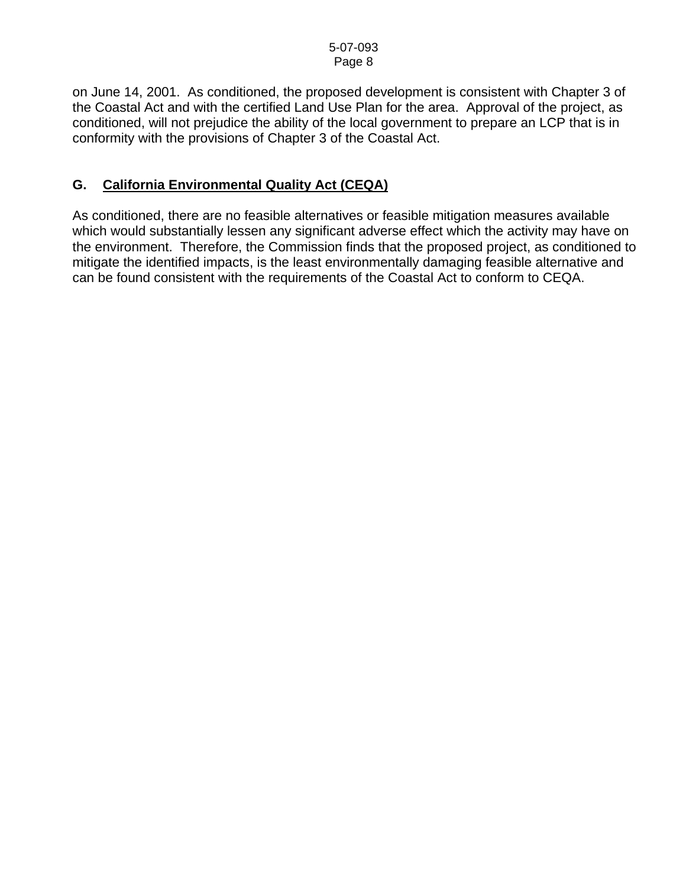on June 14, 2001. As conditioned, the proposed development is consistent with Chapter 3 of the Coastal Act and with the certified Land Use Plan for the area. Approval of the project, as conditioned, will not prejudice the ability of the local government to prepare an LCP that is in conformity with the provisions of Chapter 3 of the Coastal Act.

# **G. California Environmental Quality Act (CEQA)**

As conditioned, there are no feasible alternatives or feasible mitigation measures available which would substantially lessen any significant adverse effect which the activity may have on the environment. Therefore, the Commission finds that the proposed project, as conditioned to mitigate the identified impacts, is the least environmentally damaging feasible alternative and can be found consistent with the requirements of the Coastal Act to conform to CEQA.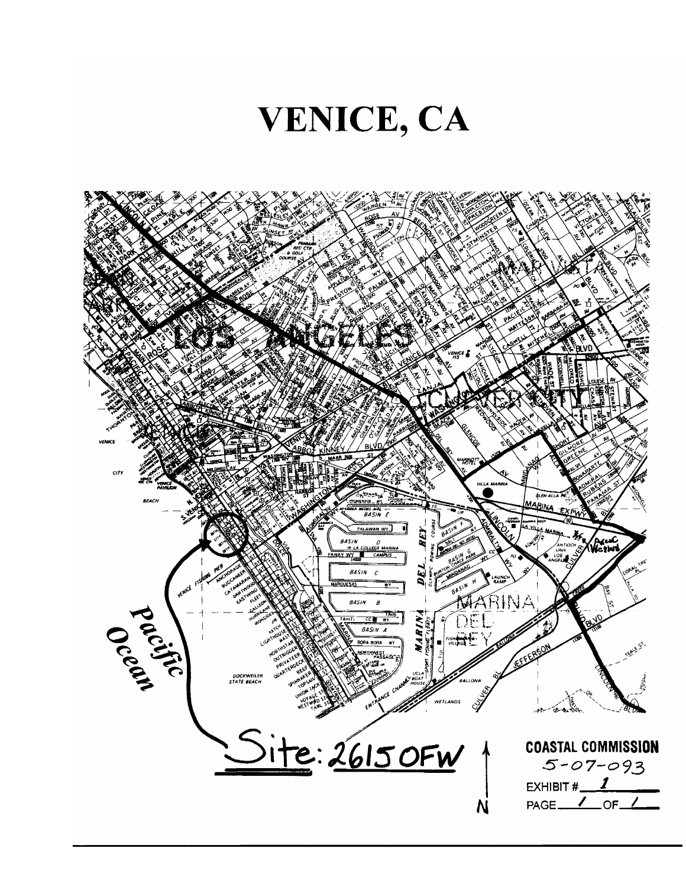

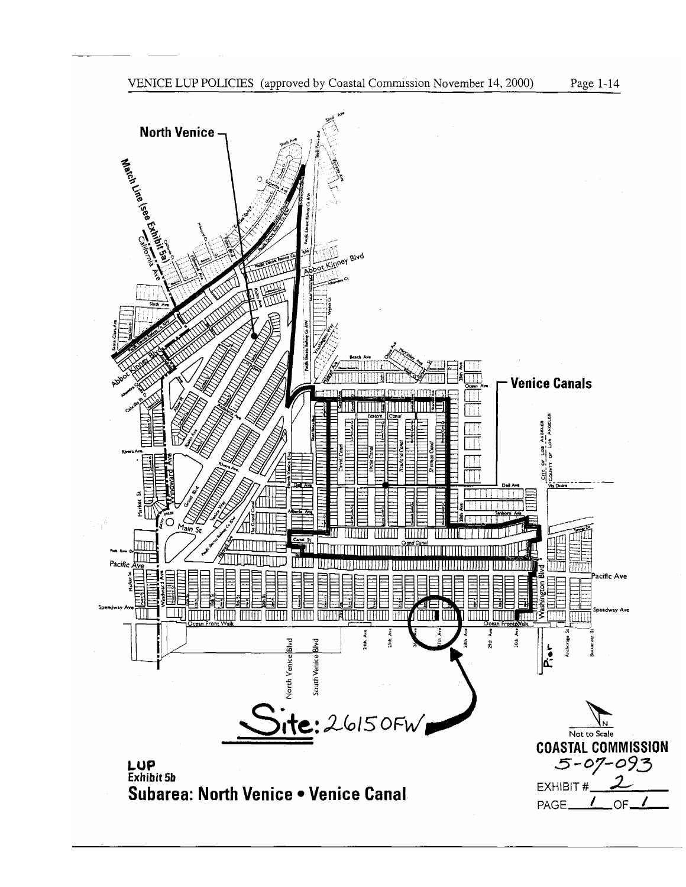

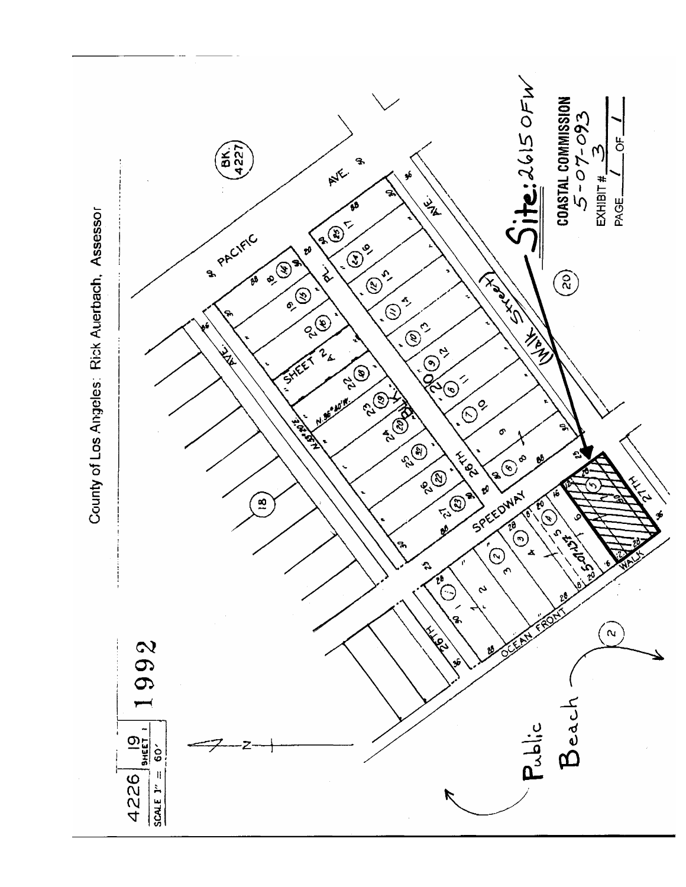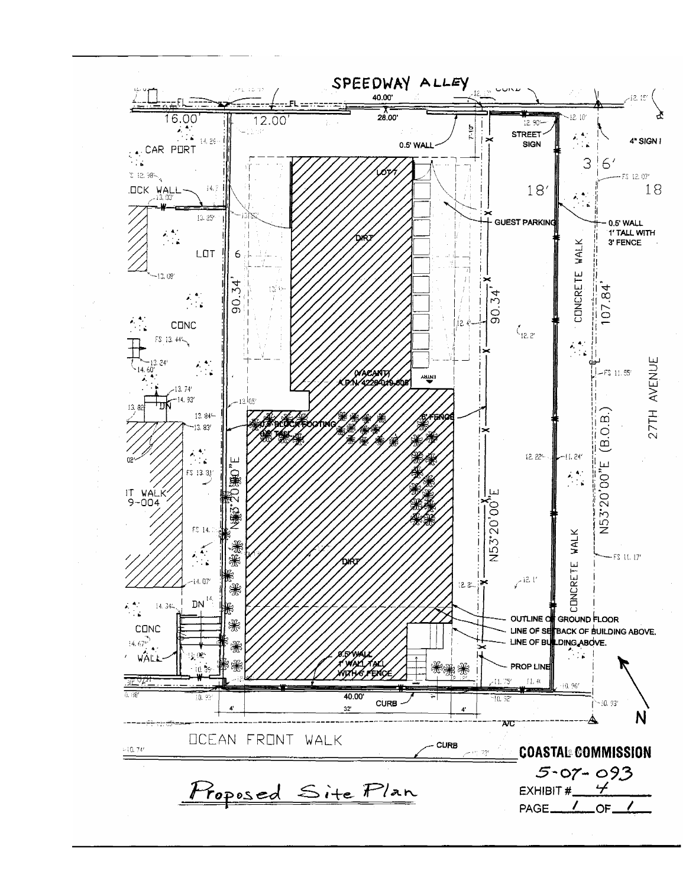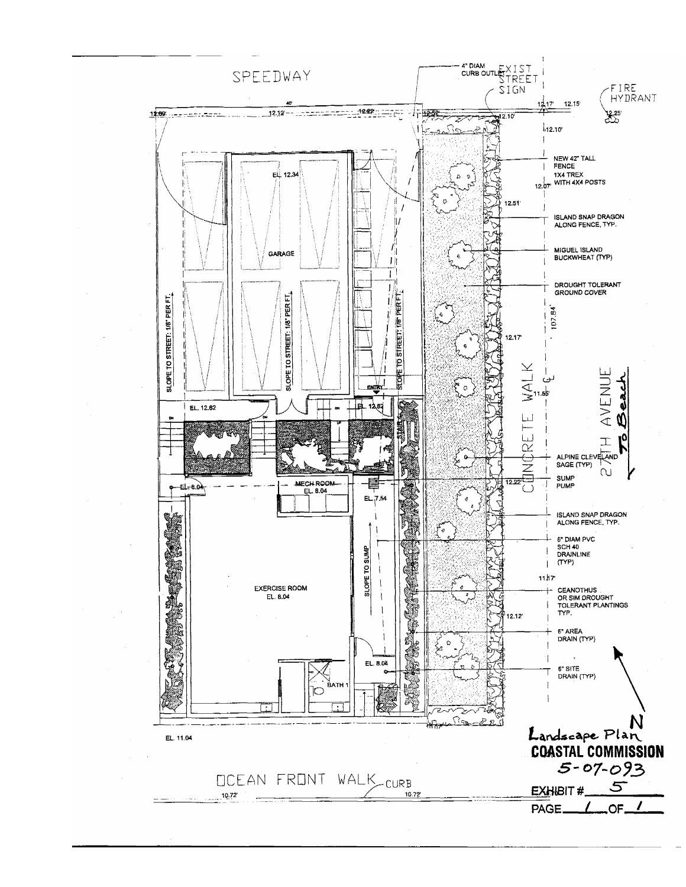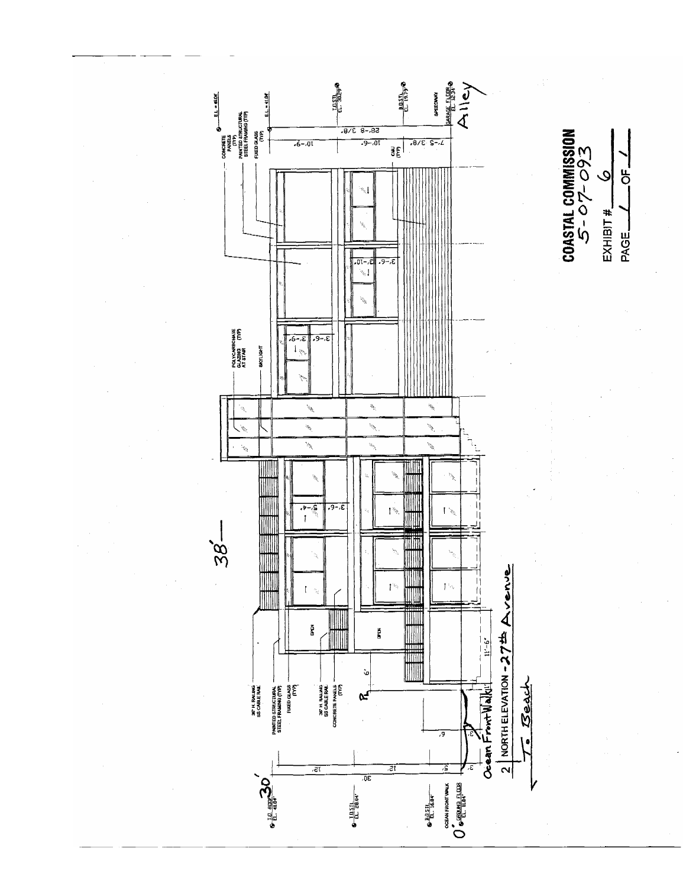